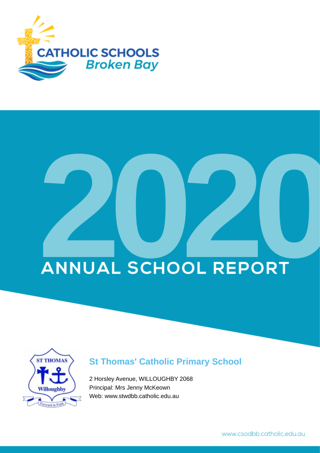

# **ANNUAL SCHOOL REPORT**



## **St Thomas' Catholic Primary School**

2 Horsley Avenue, WILLOUGHBY 2068 Principal: Mrs Jenny McKeown Web: www.stwdbb.catholic.edu.au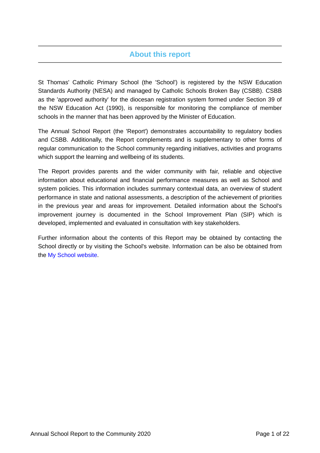## **About this report**

St Thomas' Catholic Primary School (the 'School') is registered by the NSW Education Standards Authority (NESA) and managed by Catholic Schools Broken Bay (CSBB). CSBB as the 'approved authority' for the diocesan registration system formed under Section 39 of the NSW Education Act (1990), is responsible for monitoring the compliance of member schools in the manner that has been approved by the Minister of Education.

The Annual School Report (the 'Report') demonstrates accountability to regulatory bodies and CSBB. Additionally, the Report complements and is supplementary to other forms of regular communication to the School community regarding initiatives, activities and programs which support the learning and wellbeing of its students.

The Report provides parents and the wider community with fair, reliable and objective information about educational and financial performance measures as well as School and system policies. This information includes summary contextual data, an overview of student performance in state and national assessments, a description of the achievement of priorities in the previous year and areas for improvement. Detailed information about the School's improvement journey is documented in the School Improvement Plan (SIP) which is developed, implemented and evaluated in consultation with key stakeholders.

Further information about the contents of this Report may be obtained by contacting the School directly or by visiting the School's website. Information can be also be obtained from the [My School website.](https://www.myschool.edu.au/)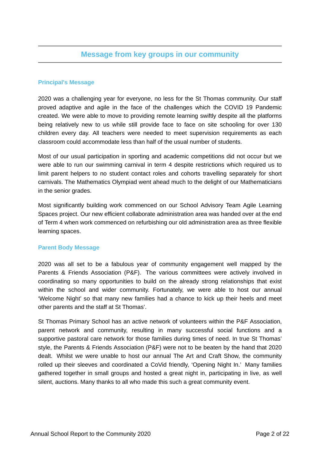## **Message from key groups in our community**

## **Principal's Message**

2020 was a challenging year for everyone, no less for the St Thomas community. Our staff proved adaptive and agile in the face of the challenges which the COVID 19 Pandemic created. We were able to move to providing remote learning swiftly despite all the platforms being relatively new to us while still provide face to face on site schooling for over 130 children every day. All teachers were needed to meet supervision requirements as each classroom could accommodate less than half of the usual number of students.

Most of our usual participation in sporting and academic competitions did not occur but we were able to run our swimming carnival in term 4 despite restrictions which required us to limit parent helpers to no student contact roles and cohorts travelling separately for short carnivals. The Mathematics Olympiad went ahead much to the delight of our Mathematicians in the senior grades.

Most significantly building work commenced on our School Advisory Team Agile Learning Spaces project. Our new efficient collaborate administration area was handed over at the end of Term 4 when work commenced on refurbishing our old administration area as three flexible learning spaces.

### **Parent Body Message**

2020 was all set to be a fabulous year of community engagement well mapped by the Parents & Friends Association (P&F). The various committees were actively involved in coordinating so many opportunities to build on the already strong relationships that exist within the school and wider community. Fortunately, we were able to host our annual 'Welcome Night' so that many new families had a chance to kick up their heels and meet other parents and the staff at St Thomas'.

St Thomas Primary School has an active network of volunteers within the P&F Association, parent network and community, resulting in many successful social functions and a supportive pastoral care network for those families during times of need. In true St Thomas' style, the Parents & Friends Association (P&F) were not to be beaten by the hand that 2020 dealt. Whilst we were unable to host our annual The Art and Craft Show, the community rolled up their sleeves and coordinated a CoVid friendly, 'Opening Night In.' Many families gathered together in small groups and hosted a great night in, participating in live, as well silent, auctions. Many thanks to all who made this such a great community event.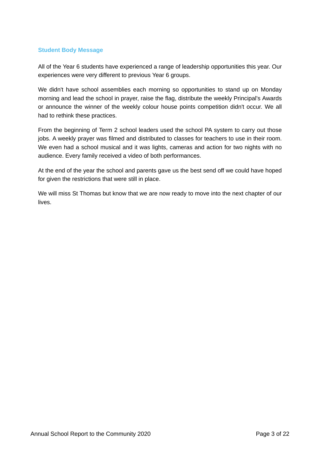#### **Student Body Message**

All of the Year 6 students have experienced a range of leadership opportunities this year. Our experiences were very different to previous Year 6 groups.

We didn't have school assemblies each morning so opportunities to stand up on Monday morning and lead the school in prayer, raise the flag, distribute the weekly Principal's Awards or announce the winner of the weekly colour house points competition didn't occur. We all had to rethink these practices.

From the beginning of Term 2 school leaders used the school PA system to carry out those jobs. A weekly prayer was filmed and distributed to classes for teachers to use in their room. We even had a school musical and it was lights, cameras and action for two nights with no audience. Every family received a video of both performances.

At the end of the year the school and parents gave us the best send off we could have hoped for given the restrictions that were still in place.

We will miss St Thomas but know that we are now ready to move into the next chapter of our lives.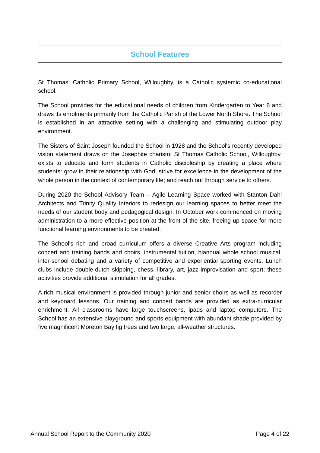## **School Features**

St Thomas' Catholic Primary School, Willoughby, is a Catholic systemic co-educational school.

The School provides for the educational needs of children from Kindergarten to Year 6 and draws its enrolments primarily from the Catholic Parish of the Lower North Shore. The School is established in an attractive setting with a challenging and stimulating outdoor play environment.

The Sisters of Saint Joseph founded the School in 1928 and the School's recently developed vision statement draws on the Josephite charism: St Thomas Catholic School, Willoughby, exists to educate and form students in Catholic discipleship by creating a place where students: grow in their relationship with God; strive for excellence in the development of the whole person in the context of contemporary life; and reach out through service to others.

During 2020 the School Advisory Team – Agile Learning Space worked with Stanton Dahl Architects and Trinity Quality Interiors to redesign our learning spaces to better meet the needs of our student body and pedagogical design. In October work commenced on moving administration to a more effective position at the front of the site, freeing up space for more functional learning environments to be created.

The School's rich and broad curriculum offers a diverse Creative Arts program including concert and training bands and choirs, instrumental tuition, biannual whole school musical, inter-school debating and a variety of competitive and experiential sporting events. Lunch clubs include double-dutch skipping, chess, library, art, jazz improvisation and sport; these activities provide additional stimulation for all grades.

A rich musical environment is provided through junior and senior choirs as well as recorder and keyboard lessons. Our training and concert bands are provided as extra-curricular enrichment. All classrooms have large touchscreens, ipads and laptop computers. The School has an extensive playground and sports equipment with abundant shade provided by five magnificent Moreton Bay fig trees and two large, all-weather structures.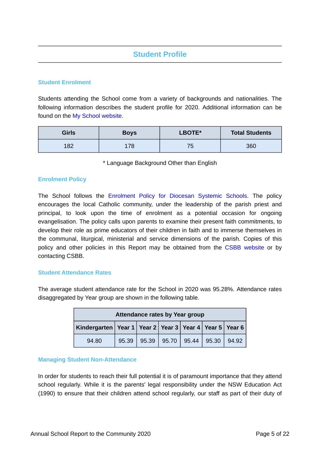## **Student Profile**

## **Student Enrolment**

Students attending the School come from a variety of backgrounds and nationalities. The following information describes the student profile for 2020. Additional information can be found on the [My School website.](https://www.myschool.edu.au/)

| <b>Girls</b> | <b>Boys</b> | LBOTE*            | <b>Total Students</b> |
|--------------|-------------|-------------------|-----------------------|
| 182          | 178         | <b>75</b><br>- 11 | 360                   |

\* Language Background Other than English

### **Enrolment Policy**

The School follows the [Enrolment Policy for Diocesan Systemic Schools.](https://www.csodbb.catholic.edu.au/about/Policies) The policy encourages the local Catholic community, under the leadership of the parish priest and principal, to look upon the time of enrolment as a potential occasion for ongoing evangelisation. The policy calls upon parents to examine their present faith commitments, to develop their role as prime educators of their children in faith and to immerse themselves in the communal, liturgical, ministerial and service dimensions of the parish. Copies of this policy and other policies in this Report may be obtained from the [CSBB website](https://www.csodbb.catholic.edu.au/about/Policies) or by contacting CSBB.

### **Student Attendance Rates**

The average student attendance rate for the School in 2020 was 95.28%. Attendance rates disaggregated by Year group are shown in the following table.

| Attendance rates by Year group                                     |       |  |                                 |  |  |       |
|--------------------------------------------------------------------|-------|--|---------------------------------|--|--|-------|
| Kindergarten   Year 1   Year 2   Year 3   Year 4   Year 5   Year 6 |       |  |                                 |  |  |       |
| 94.80                                                              | 95.39 |  | $95.39$   95.70   95.44   95.30 |  |  | 94.92 |

### **Managing Student Non-Attendance**

In order for students to reach their full potential it is of paramount importance that they attend school regularly. While it is the parents' legal responsibility under the NSW Education Act (1990) to ensure that their children attend school regularly, our staff as part of their duty of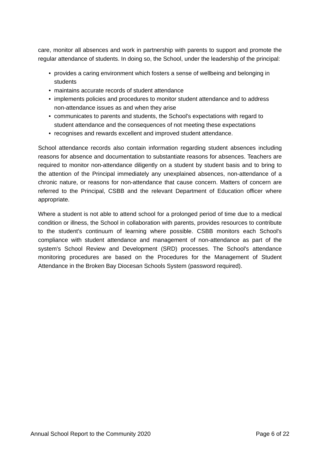care, monitor all absences and work in partnership with parents to support and promote the regular attendance of students. In doing so, the School, under the leadership of the principal:

- provides a caring environment which fosters a sense of wellbeing and belonging in students
- maintains accurate records of student attendance
- implements policies and procedures to monitor student attendance and to address non-attendance issues as and when they arise
- communicates to parents and students, the School's expectations with regard to student attendance and the consequences of not meeting these expectations
- recognises and rewards excellent and improved student attendance.

School attendance records also contain information regarding student absences including reasons for absence and documentation to substantiate reasons for absences. Teachers are required to monitor non-attendance diligently on a student by student basis and to bring to the attention of the Principal immediately any unexplained absences, non-attendance of a chronic nature, or reasons for non-attendance that cause concern. Matters of concern are referred to the Principal, CSBB and the relevant Department of Education officer where appropriate.

Where a student is not able to attend school for a prolonged period of time due to a medical condition or illness, the School in collaboration with parents, provides resources to contribute to the student's continuum of learning where possible. CSBB monitors each School's compliance with student attendance and management of non-attendance as part of the system's School Review and Development (SRD) processes. The School's attendance monitoring procedures are based on the Procedures for the Management of Student Attendance in the Broken Bay Diocesan Schools System (password required).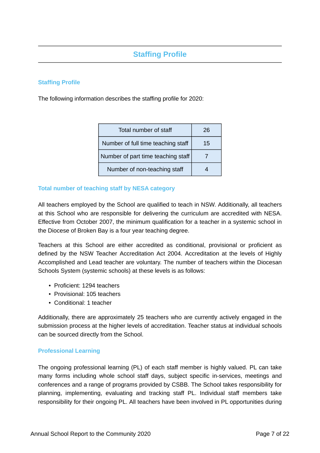## **Staffing Profile**

## **Staffing Profile**

The following information describes the staffing profile for 2020:

| Total number of staff              | 26 |
|------------------------------------|----|
| Number of full time teaching staff | 15 |
| Number of part time teaching staff |    |
| Number of non-teaching staff       |    |

## **Total number of teaching staff by NESA category**

All teachers employed by the School are qualified to teach in NSW. Additionally, all teachers at this School who are responsible for delivering the curriculum are accredited with NESA. Effective from October 2007, the minimum qualification for a teacher in a systemic school in the Diocese of Broken Bay is a four year teaching degree.

Teachers at this School are either accredited as conditional, provisional or proficient as defined by the NSW Teacher Accreditation Act 2004. Accreditation at the levels of Highly Accomplished and Lead teacher are voluntary. The number of teachers within the Diocesan Schools System (systemic schools) at these levels is as follows:

- Proficient: 1294 teachers
- Provisional: 105 teachers
- Conditional: 1 teacher

Additionally, there are approximately 25 teachers who are currently actively engaged in the submission process at the higher levels of accreditation. Teacher status at individual schools can be sourced directly from the School.

### **Professional Learning**

The ongoing professional learning (PL) of each staff member is highly valued. PL can take many forms including whole school staff days, subject specific in-services, meetings and conferences and a range of programs provided by CSBB. The School takes responsibility for planning, implementing, evaluating and tracking staff PL. Individual staff members take responsibility for their ongoing PL. All teachers have been involved in PL opportunities during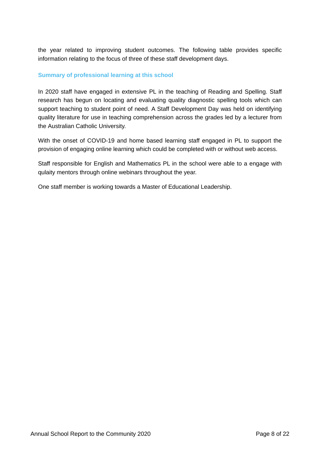the year related to improving student outcomes. The following table provides specific information relating to the focus of three of these staff development days.

## **Summary of professional learning at this school**

In 2020 staff have engaged in extensive PL in the teaching of Reading and Spelling. Staff research has begun on locating and evaluating quality diagnostic spelling tools which can support teaching to student point of need. A Staff Development Day was held on identifying quality literature for use in teaching comprehension across the grades led by a lecturer from the Australian Catholic University.

With the onset of COVID-19 and home based learning staff engaged in PL to support the provision of engaging online learning which could be completed with or without web access.

Staff responsible for English and Mathematics PL in the school were able to a engage with qulaity mentors through online webinars throughout the year.

One staff member is working towards a Master of Educational Leadership.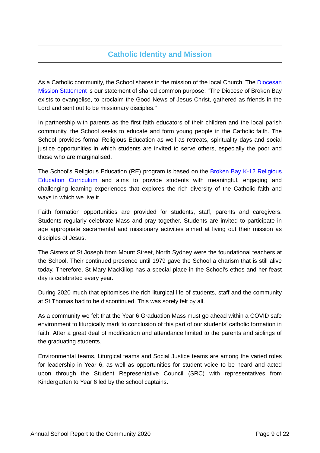## **Catholic Identity and Mission**

As a Catholic community, the School shares in the mission of the local Church. The [Diocesan](https://www.csodbb.catholic.edu.au/mission/Catholic-Life) [Mission Statement](https://www.csodbb.catholic.edu.au/mission/Catholic-Life) is our statement of shared common purpose: "The Diocese of Broken Bay exists to evangelise, to proclaim the Good News of Jesus Christ, gathered as friends in the Lord and sent out to be missionary disciples."

In partnership with parents as the first faith educators of their children and the local parish community, the School seeks to educate and form young people in the Catholic faith. The School provides formal Religious Education as well as retreats, spirituality days and social justice opportunities in which students are invited to serve others, especially the poor and those who are marginalised.

The School's Religious Education (RE) program is based on the [Broken Bay K-12 Religious](https://www.csodbb.catholic.edu.au/mission/Religious-Education) [Education Curriculum](https://www.csodbb.catholic.edu.au/mission/Religious-Education) and aims to provide students with meaningful, engaging and challenging learning experiences that explores the rich diversity of the Catholic faith and ways in which we live it.

Faith formation opportunities are provided for students, staff, parents and caregivers. Students regularly celebrate Mass and pray together. Students are invited to participate in age appropriate sacramental and missionary activities aimed at living out their mission as disciples of Jesus.

The Sisters of St Joseph from Mount Street, North Sydney were the foundational teachers at the School. Their continued presence until 1979 gave the School a charism that is still alive today. Therefore, St Mary MacKillop has a special place in the School's ethos and her feast day is celebrated every year.

During 2020 much that epitomises the rich liturgical life of students, staff and the community at St Thomas had to be discontinued. This was sorely felt by all.

As a community we felt that the Year 6 Graduation Mass must go ahead within a COVID safe environment to liturgically mark to conclusion of this part of our students' catholic formation in faith. After a great deal of modification and attendance limited to the parents and siblings of the graduating students.

Environmental teams, Liturgical teams and Social Justice teams are among the varied roles for leadership in Year 6, as well as opportunities for student voice to be heard and acted upon through the Student Representative Council (SRC) with representatives from Kindergarten to Year 6 led by the school captains.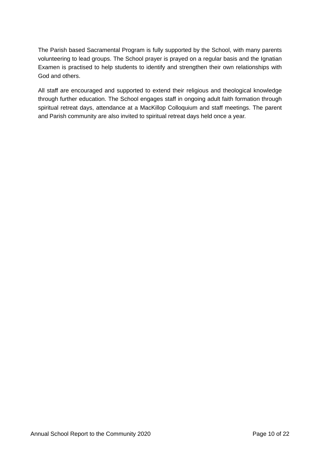The Parish based Sacramental Program is fully supported by the School, with many parents volunteering to lead groups. The School prayer is prayed on a regular basis and the Ignatian Examen is practised to help students to identify and strengthen their own relationships with God and others.

All staff are encouraged and supported to extend their religious and theological knowledge through further education. The School engages staff in ongoing adult faith formation through spiritual retreat days, attendance at a MacKillop Colloquium and staff meetings. The parent and Parish community are also invited to spiritual retreat days held once a year.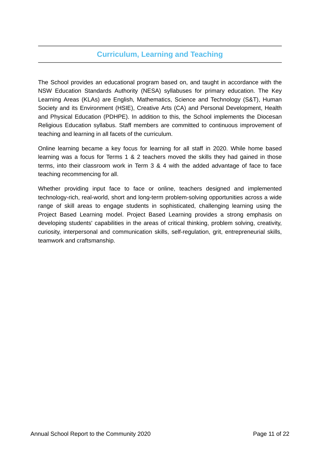## **Curriculum, Learning and Teaching**

The School provides an educational program based on, and taught in accordance with the NSW Education Standards Authority (NESA) syllabuses for primary education. The Key Learning Areas (KLAs) are English, Mathematics, Science and Technology (S&T), Human Society and its Environment (HSIE), Creative Arts (CA) and Personal Development, Health and Physical Education (PDHPE). In addition to this, the School implements the Diocesan Religious Education syllabus. Staff members are committed to continuous improvement of teaching and learning in all facets of the curriculum.

Online learning became a key focus for learning for all staff in 2020. While home based learning was a focus for Terms 1 & 2 teachers moved the skills they had gained in those terms, into their classroom work in Term 3 & 4 with the added advantage of face to face teaching recommencing for all.

Whether providing input face to face or online, teachers designed and implemented technology-rich, real-world, short and long-term problem-solving opportunities across a wide range of skill areas to engage students in sophisticated, challenging learning using the Project Based Learning model. Project Based Learning provides a strong emphasis on developing students' capabilities in the areas of critical thinking, problem solving, creativity, curiosity, interpersonal and communication skills, self-regulation, grit, entrepreneurial skills, teamwork and craftsmanship.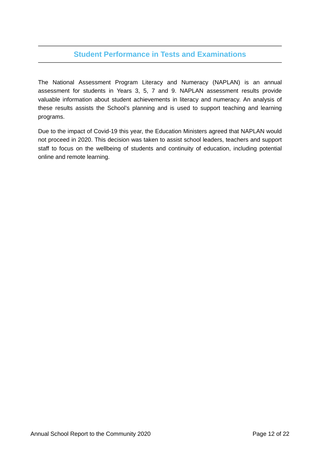## **Student Performance in Tests and Examinations**

The National Assessment Program Literacy and Numeracy (NAPLAN) is an annual assessment for students in Years 3, 5, 7 and 9. NAPLAN assessment results provide valuable information about student achievements in literacy and numeracy. An analysis of these results assists the School's planning and is used to support teaching and learning programs.

Due to the impact of Covid-19 this year, the Education Ministers agreed that NAPLAN would not proceed in 2020. This decision was taken to assist school leaders, teachers and support staff to focus on the wellbeing of students and continuity of education, including potential online and remote learning.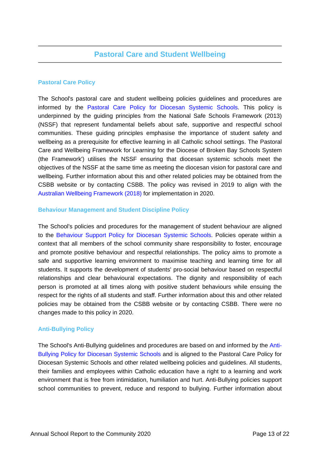## **Pastoral Care Policy**

The School's pastoral care and student wellbeing policies guidelines and procedures are informed by the [Pastoral Care Policy for Diocesan Systemic Schools.](https://www.csodbb.catholic.edu.au/about/Policies) This policy is underpinned by the guiding principles from the National Safe Schools Framework (2013) (NSSF) that represent fundamental beliefs about safe, supportive and respectful school communities. These guiding principles emphasise the importance of student safety and wellbeing as a prerequisite for effective learning in all Catholic school settings. The Pastoral Care and Wellbeing Framework for Learning for the Diocese of Broken Bay Schools System (the Framework') utilises the NSSF ensuring that diocesan systemic schools meet the objectives of the NSSF at the same time as meeting the diocesan vision for pastoral care and wellbeing. Further information about this and other related policies may be obtained from the CSBB website or by contacting CSBB. The policy was revised in 2019 to align with the [Australian Wellbeing Framework \(2018\)](https://studentwellbeinghub.edu.au/educators/framework/) for implementation in 2020.

## **Behaviour Management and Student Discipline Policy**

The School's policies and procedures for the management of student behaviour are aligned to the [Behaviour Support Policy for Diocesan Systemic Schools.](https://www.csodbb.catholic.edu.au/about/Policies) Policies operate within a context that all members of the school community share responsibility to foster, encourage and promote positive behaviour and respectful relationships. The policy aims to promote a safe and supportive learning environment to maximise teaching and learning time for all students. It supports the development of students' pro-social behaviour based on respectful relationships and clear behavioural expectations. The dignity and responsibility of each person is promoted at all times along with positive student behaviours while ensuing the respect for the rights of all students and staff. Further information about this and other related policies may be obtained from the CSBB website or by contacting CSBB. There were no changes made to this policy in 2020.

## **Anti-Bullying Policy**

The School's Anti-Bullying guidelines and procedures are based on and informed by the [Anti-](https://www.csodbb.catholic.edu.au/about/Policies)[Bullying Policy for Diocesan Systemic Schools](https://www.csodbb.catholic.edu.au/about/Policies) and is aligned to the Pastoral Care Policy for Diocesan Systemic Schools and other related wellbeing policies and guidelines. All students, their families and employees within Catholic education have a right to a learning and work environment that is free from intimidation, humiliation and hurt. Anti-Bullying policies support school communities to prevent, reduce and respond to bullying. Further information about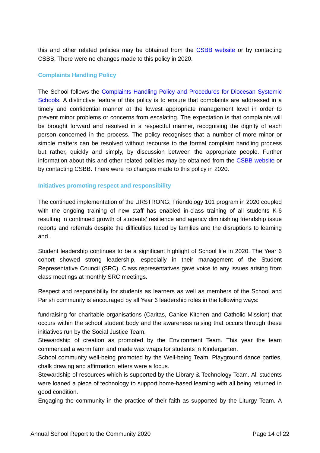this and other related policies may be obtained from the [CSBB website](https://www.csodbb.catholic.edu.au/about/Overview) or by contacting CSBB. There were no changes made to this policy in 2020.

## **Complaints Handling Policy**

The School follows the [Complaints Handling Policy and Procedures for Diocesan Systemic](https://www.csodbb.catholic.edu.au/about/Policies) [Schools.](https://www.csodbb.catholic.edu.au/about/Policies) A distinctive feature of this policy is to ensure that complaints are addressed in a timely and confidential manner at the lowest appropriate management level in order to prevent minor problems or concerns from escalating. The expectation is that complaints will be brought forward and resolved in a respectful manner, recognising the dignity of each person concerned in the process. The policy recognises that a number of more minor or simple matters can be resolved without recourse to the formal complaint handling process but rather, quickly and simply, by discussion between the appropriate people. Further information about this and other related policies may be obtained from the [CSBB website](https://www.csodbb.catholic.edu.au/about/Policies) or by contacting CSBB. There were no changes made to this policy in 2020.

### **Initiatives promoting respect and responsibility**

The continued implementation of the URSTRONG: Friendology 101 program in 2020 coupled with the ongoing training of new staff has enabled in-class training of all students K-6 resulting in continued growth of students' resilience and agency diminishing friendship issue reports and referrals despite the difficulties faced by families and the disruptions to learning and .

Student leadership continues to be a significant highlight of School life in 2020. The Year 6 cohort showed strong leadership, especially in their management of the Student Representative Council (SRC). Class representatives gave voice to any issues arising from class meetings at monthly SRC meetings.

Respect and responsibility for students as learners as well as members of the School and Parish community is encouraged by all Year 6 leadership roles in the following ways:

fundraising for charitable organisations (Caritas, Canice Kitchen and Catholic Mission) that occurs within the school student body and the awareness raising that occurs through these initiatives run by the Social Justice Team.

Stewardship of creation as promoted by the Environment Team. This year the team commenced a worm farm and made wax wraps for students in Kindergarten.

School community well-being promoted by the Well-being Team. Playground dance parties, chalk drawing and affirmation letters were a focus.

Stewardship of resources which is supported by the Library & Technology Team. All students were loaned a piece of technology to support home-based learning with all being returned in good condition.

Engaging the community in the practice of their faith as supported by the Liturgy Team. A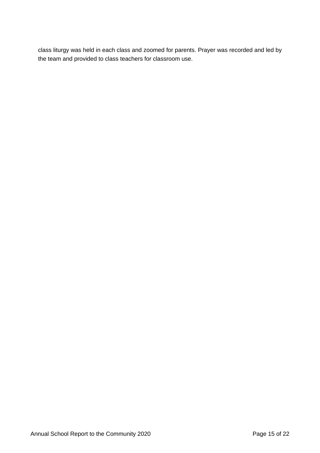class liturgy was held in each class and zoomed for parents. Prayer was recorded and led by the team and provided to class teachers for classroom use.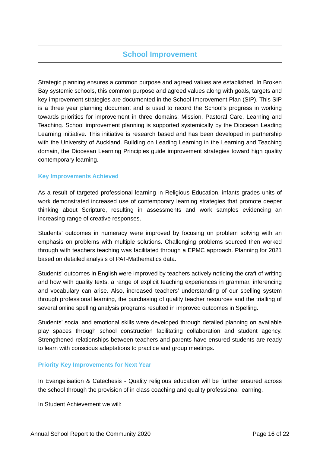## **School Improvement**

Strategic planning ensures a common purpose and agreed values are established. In Broken Bay systemic schools, this common purpose and agreed values along with goals, targets and key improvement strategies are documented in the School Improvement Plan (SIP). This SIP is a three year planning document and is used to record the School's progress in working towards priorities for improvement in three domains: Mission, Pastoral Care, Learning and Teaching. School improvement planning is supported systemically by the Diocesan Leading Learning initiative. This initiative is research based and has been developed in partnership with the University of Auckland. Building on Leading Learning in the Learning and Teaching domain, the Diocesan Learning Principles guide improvement strategies toward high quality contemporary learning.

## **Key Improvements Achieved**

As a result of targeted professional learning in Religious Education, infants grades units of work demonstrated increased use of contemporary learning strategies that promote deeper thinking about Scripture, resulting in assessments and work samples evidencing an increasing range of creative responses.

Students' outcomes in numeracy were improved by focusing on problem solving with an emphasis on problems with multiple solutions. Challenging problems sourced then worked through with teachers teaching was facilitated through a EPMC approach. Planning for 2021 based on detailed analysis of PAT-Mathematics data.

Students' outcomes in English were improved by teachers actively noticing the craft of writing and how with quality texts, a range of explicit teaching experiences in grammar, inferencing and vocabulary can arise. Also, increased teachers' understanding of our spelling system through professional learning, the purchasing of quality teacher resources and the trialling of several online spelling analysis programs resulted in improved outcomes in Spelling.

Students' social and emotional skills were developed through detailed planning on available play spaces through school construction facilitating collaboration and student agency. Strengthened relationships between teachers and parents have ensured students are ready to learn with conscious adaptations to practice and group meetings.

### **Priority Key Improvements for Next Year**

In Evangelisation & Catechesis - Quality religious education will be further ensured across the school through the provision of in class coaching and quality professional learning.

In Student Achievement we will: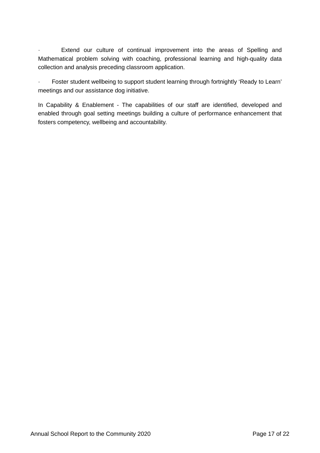Extend our culture of continual improvement into the areas of Spelling and Mathematical problem solving with coaching, professional learning and high-quality data collection and analysis preceding classroom application.

Foster student wellbeing to support student learning through fortnightly 'Ready to Learn' meetings and our assistance dog initiative.

In Capability & Enablement - The capabilities of our staff are identified, developed and enabled through goal setting meetings building a culture of performance enhancement that fosters competency, wellbeing and accountability.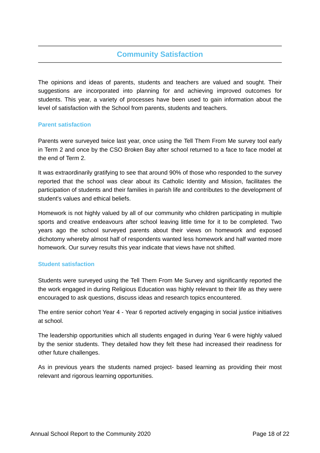## **Community Satisfaction**

The opinions and ideas of parents, students and teachers are valued and sought. Their suggestions are incorporated into planning for and achieving improved outcomes for students. This year, a variety of processes have been used to gain information about the level of satisfaction with the School from parents, students and teachers.

### **Parent satisfaction**

Parents were surveyed twice last year, once using the Tell Them From Me survey tool early in Term 2 and once by the CSO Broken Bay after school returned to a face to face model at the end of Term 2.

It was extraordinarily gratifying to see that around 90% of those who responded to the survey reported that the school was clear about its Catholic Identity and Mission, facilitates the participation of students and their families in parish life and contributes to the development of student's values and ethical beliefs.

Homework is not highly valued by all of our community who children participating in multiple sports and creative endeavours after school leaving little time for it to be completed. Two years ago the school surveyed parents about their views on homework and exposed dichotomy whereby almost half of respondents wanted less homework and half wanted more homework. Our survey results this year indicate that views have not shifted.

### **Student satisfaction**

Students were surveyed using the Tell Them From Me Survey and significantly reported the the work engaged in during Religious Education was highly relevant to their life as they were encouraged to ask questions, discuss ideas and research topics encountered.

The entire senior cohort Year 4 - Year 6 reported actively engaging in social justice initiatives at school.

The leadership opportunities which all students engaged in during Year 6 were highly valued by the senior students. They detailed how they felt these had increased their readiness for other future challenges.

As in previous years the students named project- based learning as providing their most relevant and rigorous learning opportunities.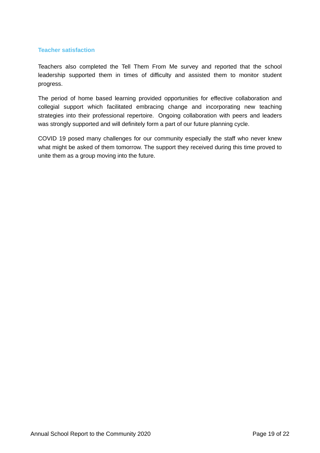#### **Teacher satisfaction**

Teachers also completed the Tell Them From Me survey and reported that the school leadership supported them in times of difficulty and assisted them to monitor student progress.

The period of home based learning provided opportunities for effective collaboration and collegial support which facilitated embracing change and incorporating new teaching strategies into their professional repertoire. Ongoing collaboration with peers and leaders was strongly supported and will definitely form a part of our future planning cycle.

COVID 19 posed many challenges for our community especially the staff who never knew what might be asked of them tomorrow. The support they received during this time proved to unite them as a group moving into the future.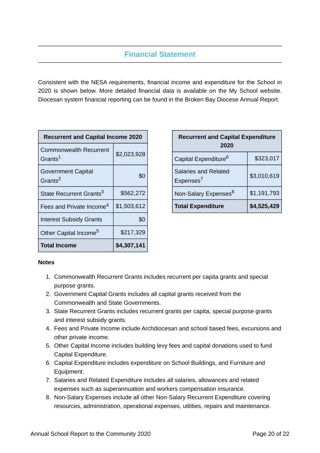## **Financial Statement**

Consistent with the NESA requirements, financial income and expenditure for the School in 2020 is shown below. More detailed financial data is available on the My School website. Diocesan system financial reporting can be found in the Broken Bay Diocese Annual Report.

| <b>Recurrent and Capital Income 2020</b>             |             |  |
|------------------------------------------------------|-------------|--|
| <b>Commonwealth Recurrent</b><br>Grants <sup>1</sup> | \$2,023,928 |  |
| <b>Government Capital</b><br>Grants <sup>2</sup>     | \$0         |  |
| State Recurrent Grants <sup>3</sup>                  | \$562,272   |  |
| Fees and Private Income <sup>4</sup>                 | \$1,503,612 |  |
| <b>Interest Subsidy Grants</b>                       | \$0         |  |
| Other Capital Income <sup>5</sup>                    | \$217,329   |  |
| <b>Total Income</b>                                  | \$4,307,141 |  |

| <b>Recurrent and Capital Expenditure</b><br>2020     |             |  |
|------------------------------------------------------|-------------|--|
| Capital Expenditure <sup>6</sup>                     | \$323,017   |  |
| <b>Salaries and Related</b><br>Expenses <sup>7</sup> | \$3,010,619 |  |
| Non-Salary Expenses <sup>8</sup>                     | \$1,191,793 |  |
| <b>Total Expenditure</b>                             | \$4,525,429 |  |

### **Notes**

- 1. Commonwealth Recurrent Grants includes recurrent per capita grants and special purpose grants.
- 2. Government Capital Grants includes all capital grants received from the Commonwealth and State Governments.
- 3. State Recurrent Grants includes recurrent grants per capita, special purpose grants and interest subsidy grants.
- 4. Fees and Private Income include Archdiocesan and school based fees, excursions and other private income.
- 5. Other Capital Income includes building levy fees and capital donations used to fund Capital Expenditure.
- 6. Capital Expenditure includes expenditure on School Buildings, and Furniture and Equipment.
- 7. Salaries and Related Expenditure includes all salaries, allowances and related expenses such as superannuation and workers compensation insurance.
- 8. Non-Salary Expenses include all other Non-Salary Recurrent Expenditure covering resources, administration, operational expenses, utilities, repairs and maintenance.